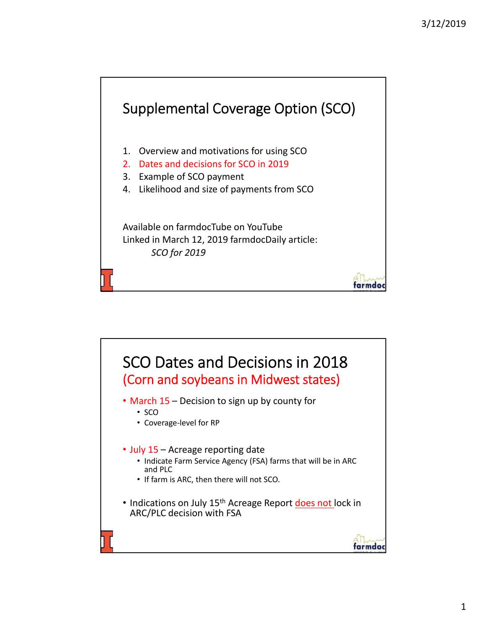

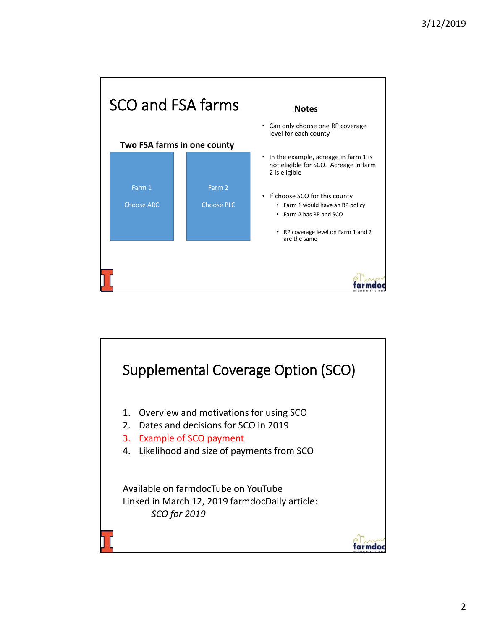

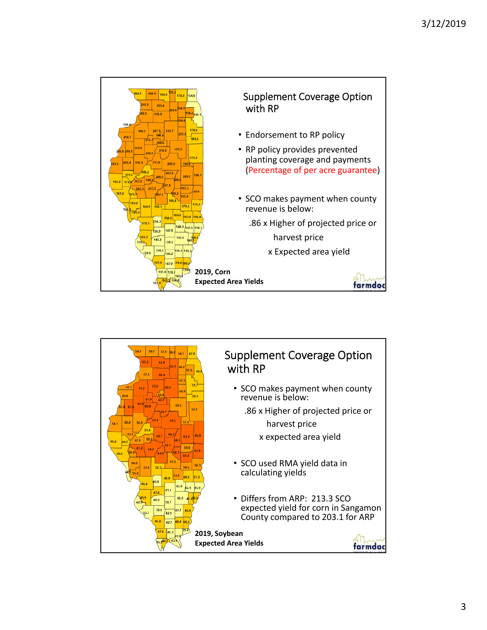

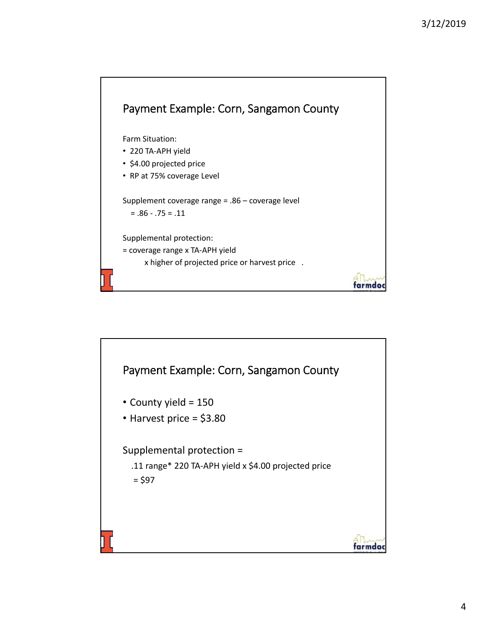

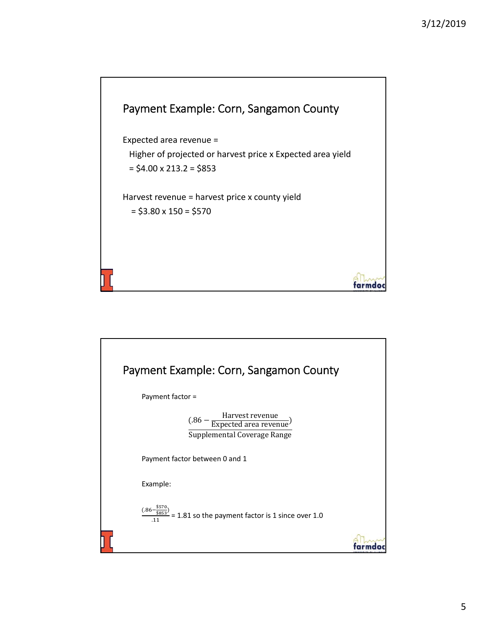